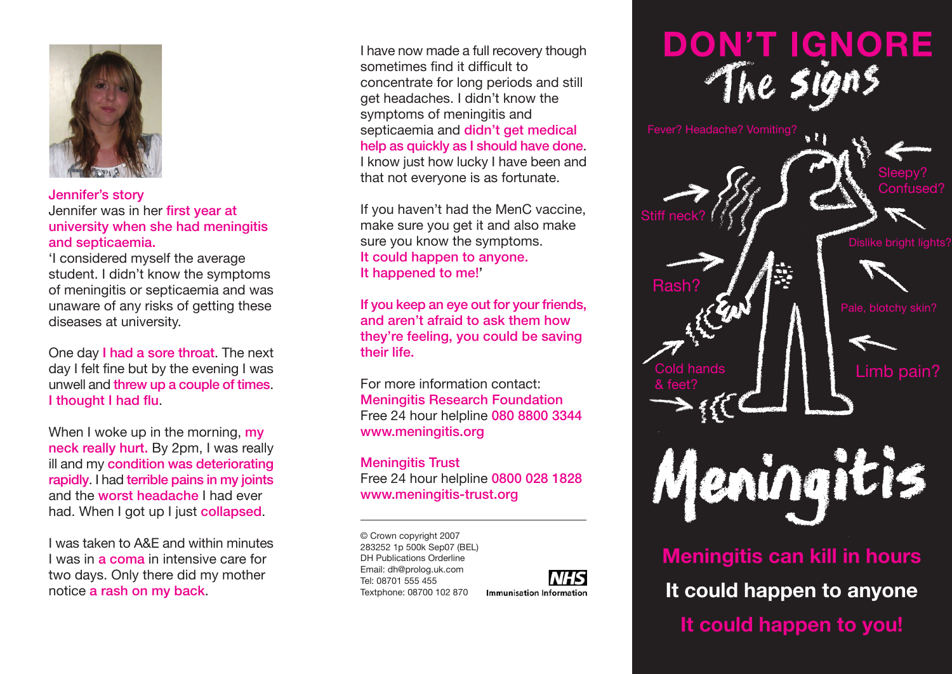

Jennifer's story Jennifer was in her first year at university when she had meningitis and septicaemia.

'I considered myself the average student. I didn't know the symptoms of meningitis or septicaemia and was unaware of any risks of getting these diseases at university.

One day I had a sore throat. The next day I felt fine but by the evening I was unwell and threw up a couple of times. I thought I had flu.

When I woke up in the morning, **my** neck really hurt. By 2pm, I was really ill and my condition was deteriorating rapidly. I had terrible pains in my joints and the worst headache I had ever had. When I got up I just collapsed.

I was taken to A&E and within minutes I was in a coma in intensive care for two days. Only there did my mother notice a rash on my back.

I have now made a full recovery though sometimes find it difficult to concentrate for long periods and still get headaches. I didn't know the symptoms of meningitis and septicaemia and didn't get medical help as quickly as I should have done. I know just how lucky I have been and that not everyone is as fortunate.

If you haven't had the MenC vaccine, make sure you get it and also make sure you know the symptoms. It could happen to anyone. It happened to me!'

If you keep an eye out for your friends, and aren't afraid to ask them how they're feeling, you could be saving their life.

For more information contact: Meningitis Research Foundation Free 24 hour helpline 080 8800 3344 www.meningitis.org

**Meningitis Trust** Free 24 hour helpline 0800 028 1828 www.meningitis-trust.org

© Crown copyright 2007 283252 1p 500k Sep07 (BEL) DH Publications Orderline Email: dh@prolog.uk.com Tel: 08701 555 455 Textphone: 08700 102 870







Limb pain?

Meningitis

Rash?

**Meningitis can kill in hours It could happen to anyone It could happen to you!**